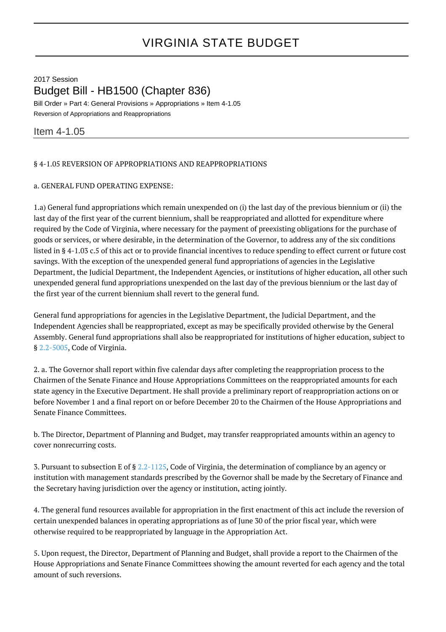# VIRGINIA STATE BUDGET

# 2017 Session Budget Bill - HB1500 (Chapter 836)

Bill Order » Part 4: General Provisions » Appropriations » Item 4-1.05 Reversion of Appropriations and Reappropriations

# Item 4-1.05

## § 4-1.05 REVERSION OF APPROPRIATIONS AND REAPPROPRIATIONS

#### a. GENERAL FUND OPERATING EXPENSE:

1.a) General fund appropriations which remain unexpended on (i) the last day of the previous biennium or (ii) the last day of the first year of the current biennium, shall be reappropriated and allotted for expenditure where required by the Code of Virginia, where necessary for the payment of preexisting obligations for the purchase of goods or services, or where desirable, in the determination of the Governor, to address any of the six conditions listed in § 4-1.03 c.5 of this act or to provide financial incentives to reduce spending to effect current or future cost savings. With the exception of the unexpended general fund appropriations of agencies in the Legislative Department, the Judicial Department, the Independent Agencies, or institutions of higher education, all other such unexpended general fund appropriations unexpended on the last day of the previous biennium or the last day of the first year of the current biennium shall revert to the general fund.

General fund appropriations for agencies in the Legislative Department, the Judicial Department, and the Independent Agencies shall be reappropriated, except as may be specifically provided otherwise by the General Assembly. General fund appropriations shall also be reappropriated for institutions of higher education, subject to § [2.2-5005,](http://law.lis.virginia.gov/vacode/2.2-5005/) Code of Virginia.

2. a. The Governor shall report within five calendar days after completing the reappropriation process to the Chairmen of the Senate Finance and House Appropriations Committees on the reappropriated amounts for each state agency in the Executive Department. He shall provide a preliminary report of reappropriation actions on or before November 1 and a final report on or before December 20 to the Chairmen of the House Appropriations and Senate Finance Committees.

b. The Director, Department of Planning and Budget, may transfer reappropriated amounts within an agency to cover nonrecurring costs.

3. Pursuant to subsection E of § [2.2-1125,](http://law.lis.virginia.gov/vacode/2.2-1125/) Code of Virginia, the determination of compliance by an agency or institution with management standards prescribed by the Governor shall be made by the Secretary of Finance and the Secretary having jurisdiction over the agency or institution, acting jointly.

4. The general fund resources available for appropriation in the first enactment of this act include the reversion of certain unexpended balances in operating appropriations as of June 30 of the prior fiscal year, which were otherwise required to be reappropriated by language in the Appropriation Act.

5. Upon request, the Director, Department of Planning and Budget, shall provide a report to the Chairmen of the House Appropriations and Senate Finance Committees showing the amount reverted for each agency and the total amount of such reversions.